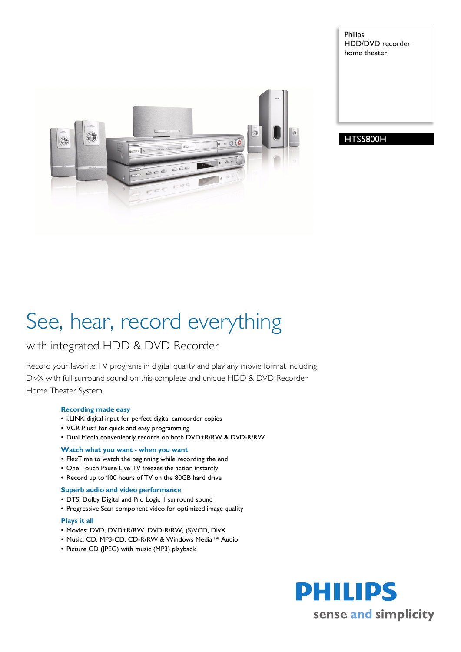

Philips HDD/DVD recorder home theater

# HTS5800H

# See, hear, record everything

# with integrated HDD & DVD Recorder

Record your favorite TV programs in digital quality and play any movie format including DivX with full surround sound on this complete and unique HDD & DVD Recorder Home Theater System.

# **Recording made easy**

- i.LINK digital input for perfect digital camcorder copies
- VCR Plus+ for quick and easy programming
- Dual Media conveniently records on both DVD+R/RW & DVD-R/RW

# **Watch what you want - when you want**

- FlexTime to watch the beginning while recording the end
- One Touch Pause Live TV freezes the action instantly
- Record up to 100 hours of TV on the 80GB hard drive

# **Superb audio and video performance**

- DTS, Dolby Digital and Pro Logic II surround sound
- Progressive Scan component video for optimized image quality

# **Plays it all**

- Movies: DVD, DVD+R/RW, DVD-R/RW, (S)VCD, DivX
- Music: CD, MP3-CD, CD-R/RW & Windows Media™ Audio
- Picture CD (JPEG) with music (MP3) playback

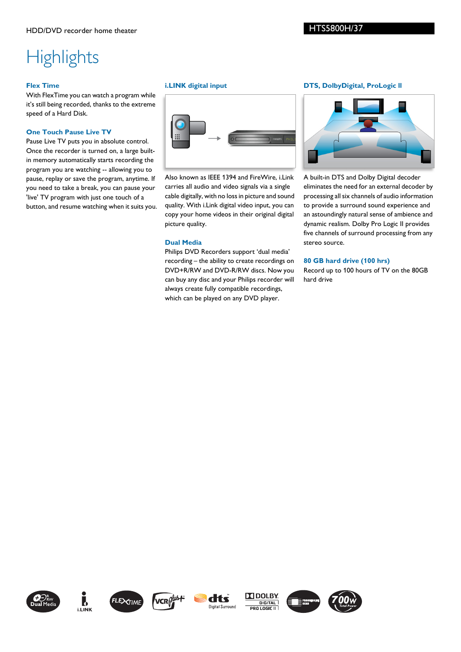# **Highlights**

# **Flex Time**

With FlexTime you can watch a program while it's still being recorded, thanks to the extreme speed of a Hard Disk.

# **One Touch Pause Live TV**

Pause Live TV puts you in absolute control. Once the recorder is turned on, a large builtin memory automatically starts recording the program you are watching -- allowing you to pause, replay or save the program, anytime. If you need to take a break, you can pause your 'live' TV program with just one touch of a button, and resume watching when it suits you.

# **i.LINK digital input**



Also known as IEEE 1394 and FireWire, i.Link carries all audio and video signals via a single cable digitally, with no loss in picture and sound quality. With i.Link digital video input, you can copy your home videos in their original digital picture quality.

# **Dual Media**

Philips DVD Recorders support 'dual media' recording – the ability to create recordings on DVD+R/RW and DVD-R/RW discs. Now you can buy any disc and your Philips recorder will always create fully compatible recordings, which can be played on any DVD player.

# **DTS, DolbyDigital, ProLogic ll**



A built-in DTS and Dolby Digital decoder eliminates the need for an external decoder by processing all six channels of audio information to provide a surround sound experience and an astoundingly natural sense of ambience and dynamic realism. Dolby Pro Logic II provides five channels of surround processing from any stereo source.

# **80 GB hard drive (100 hrs)**

Record up to 100 hours of TV on the 80GB hard drive